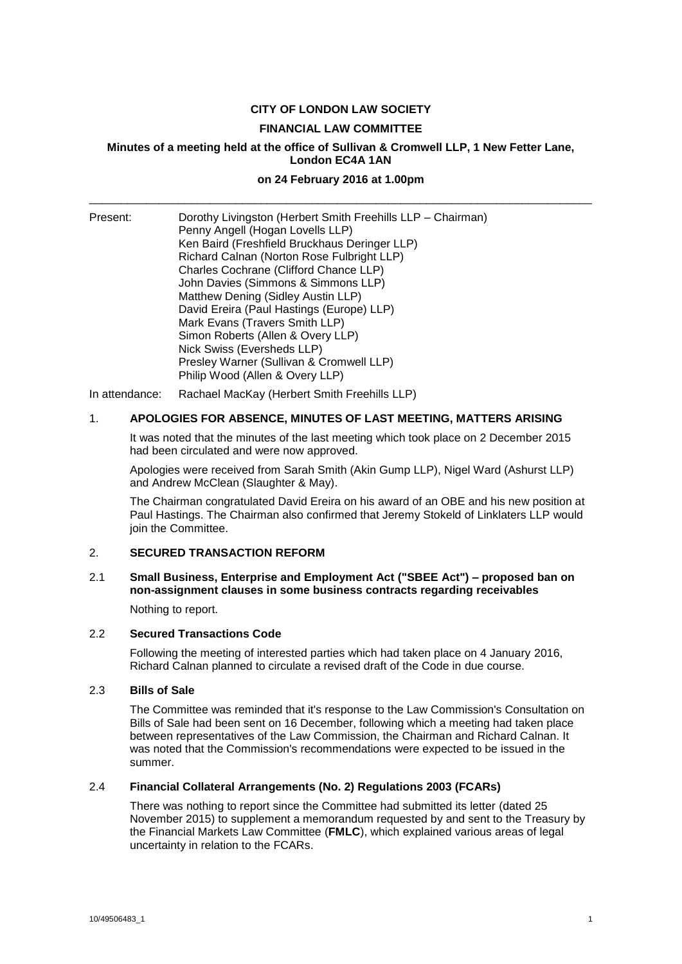## **CITY OF LONDON LAW SOCIETY**

#### **FINANCIAL LAW COMMITTEE**

## **Minutes of a meeting held at the office of Sullivan & Cromwell LLP, 1 New Fetter Lane, London EC4A 1AN**

# **on 24 February 2016 at 1.00pm** \_\_\_\_\_\_\_\_\_\_\_\_\_\_\_\_\_\_\_\_\_\_\_\_\_\_\_\_\_\_\_\_\_\_\_\_\_\_\_\_\_\_\_\_\_\_\_\_\_\_\_\_\_\_\_\_\_\_\_\_\_\_\_\_\_\_\_\_\_\_\_\_\_\_\_\_\_\_\_

| Penny Angell (Hogan Lovells LLP) | Ken Baird (Freshfield Bruckhaus Deringer LLP)<br>Richard Calnan (Norton Rose Fulbright LLP)<br>Charles Cochrane (Clifford Chance LLP)<br>John Davies (Simmons & Simmons LLP)<br>Matthew Dening (Sidley Austin LLP)<br>David Ereira (Paul Hastings (Europe) LLP)<br>Mark Evans (Travers Smith LLP)<br>Simon Roberts (Allen & Overy LLP)<br>Nick Swiss (Eversheds LLP)<br>Presley Warner (Sullivan & Cromwell LLP)<br>Philip Wood (Allen & Overy LLP) |
|----------------------------------|-----------------------------------------------------------------------------------------------------------------------------------------------------------------------------------------------------------------------------------------------------------------------------------------------------------------------------------------------------------------------------------------------------------------------------------------------------|
|                                  |                                                                                                                                                                                                                                                                                                                                                                                                                                                     |

In attendance: Rachael MacKay (Herbert Smith Freehills LLP)

# 1. **APOLOGIES FOR ABSENCE, MINUTES OF LAST MEETING, MATTERS ARISING**

It was noted that the minutes of the last meeting which took place on 2 December 2015 had been circulated and were now approved.

Apologies were received from Sarah Smith (Akin Gump LLP), Nigel Ward (Ashurst LLP) and Andrew McClean (Slaughter & May).

The Chairman congratulated David Ereira on his award of an OBE and his new position at Paul Hastings. The Chairman also confirmed that Jeremy Stokeld of Linklaters LLP would join the Committee.

#### 2. **SECURED TRANSACTION REFORM**

# 2.1 **Small Business, Enterprise and Employment Act ("SBEE Act") – proposed ban on non-assignment clauses in some business contracts regarding receivables**

Nothing to report.

### 2.2 **Secured Transactions Code**

Following the meeting of interested parties which had taken place on 4 January 2016, Richard Calnan planned to circulate a revised draft of the Code in due course.

#### 2.3 **Bills of Sale**

The Committee was reminded that it's response to the Law Commission's Consultation on Bills of Sale had been sent on 16 December, following which a meeting had taken place between representatives of the Law Commission, the Chairman and Richard Calnan. It was noted that the Commission's recommendations were expected to be issued in the summer.

#### 2.4 **Financial Collateral Arrangements (No. 2) Regulations 2003 (FCARs)**

There was nothing to report since the Committee had submitted its letter (dated 25 November 2015) to supplement a memorandum requested by and sent to the Treasury by the Financial Markets Law Committee (**FMLC**), which explained various areas of legal uncertainty in relation to the FCARs.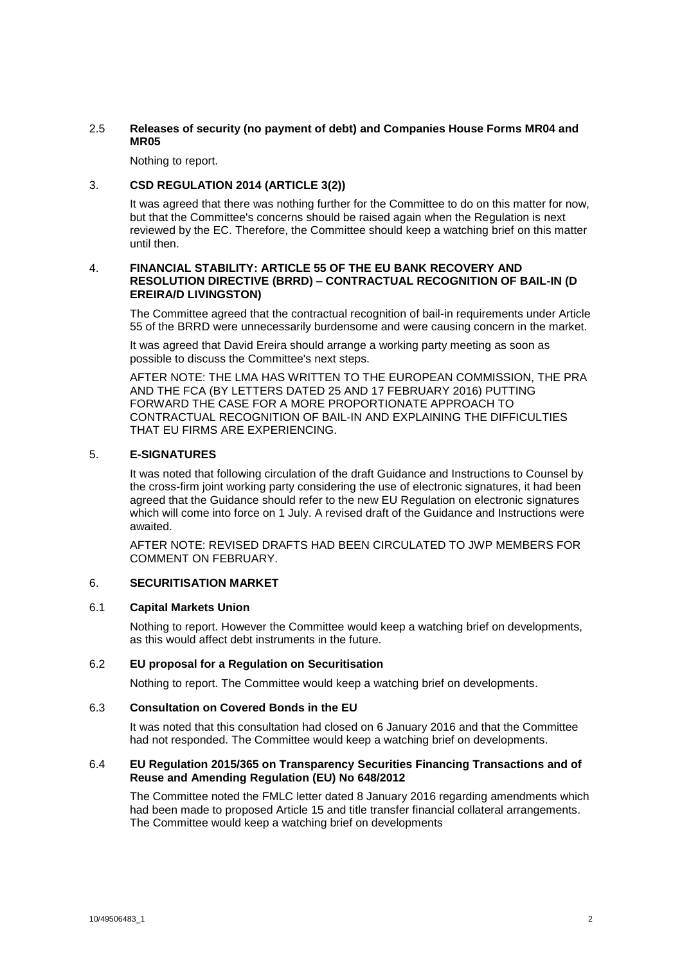# 2.5 **Releases of security (no payment of debt) and Companies House Forms MR04 and MR05**

Nothing to report.

# 3. **CSD REGULATION 2014 (ARTICLE 3(2))**

It was agreed that there was nothing further for the Committee to do on this matter for now, but that the Committee's concerns should be raised again when the Regulation is next reviewed by the EC. Therefore, the Committee should keep a watching brief on this matter until then.

## 4. **FINANCIAL STABILITY: ARTICLE 55 OF THE EU BANK RECOVERY AND RESOLUTION DIRECTIVE (BRRD) – CONTRACTUAL RECOGNITION OF BAIL-IN (D EREIRA/D LIVINGSTON)**

The Committee agreed that the contractual recognition of bail-in requirements under Article 55 of the BRRD were unnecessarily burdensome and were causing concern in the market.

It was agreed that David Ereira should arrange a working party meeting as soon as possible to discuss the Committee's next steps.

AFTER NOTE: THE LMA HAS WRITTEN TO THE EUROPEAN COMMISSION, THE PRA AND THE FCA (BY LETTERS DATED 25 AND 17 FEBRUARY 2016) PUTTING FORWARD THE CASE FOR A MORE PROPORTIONATE APPROACH TO CONTRACTUAL RECOGNITION OF BAIL-IN AND EXPLAINING THE DIFFICULTIES THAT EU FIRMS ARE EXPERIENCING.

## 5. **E-SIGNATURES**

It was noted that following circulation of the draft Guidance and Instructions to Counsel by the cross-firm joint working party considering the use of electronic signatures, it had been agreed that the Guidance should refer to the new EU Regulation on electronic signatures which will come into force on 1 July. A revised draft of the Guidance and Instructions were awaited.

AFTER NOTE: REVISED DRAFTS HAD BEEN CIRCULATED TO JWP MEMBERS FOR COMMENT ON FEBRUARY.

# 6. **SECURITISATION MARKET**

# 6.1 **Capital Markets Union**

Nothing to report. However the Committee would keep a watching brief on developments, as this would affect debt instruments in the future.

#### 6.2 **EU proposal for a Regulation on Securitisation**

Nothing to report. The Committee would keep a watching brief on developments.

## 6.3 **Consultation on Covered Bonds in the EU**

It was noted that this consultation had closed on 6 January 2016 and that the Committee had not responded. The Committee would keep a watching brief on developments.

#### 6.4 **EU Regulation 2015/365 on Transparency Securities Financing Transactions and of Reuse and Amending Regulation (EU) No 648/2012**

The Committee noted the FMLC letter dated 8 January 2016 regarding amendments which had been made to proposed Article 15 and title transfer financial collateral arrangements. The Committee would keep a watching brief on developments